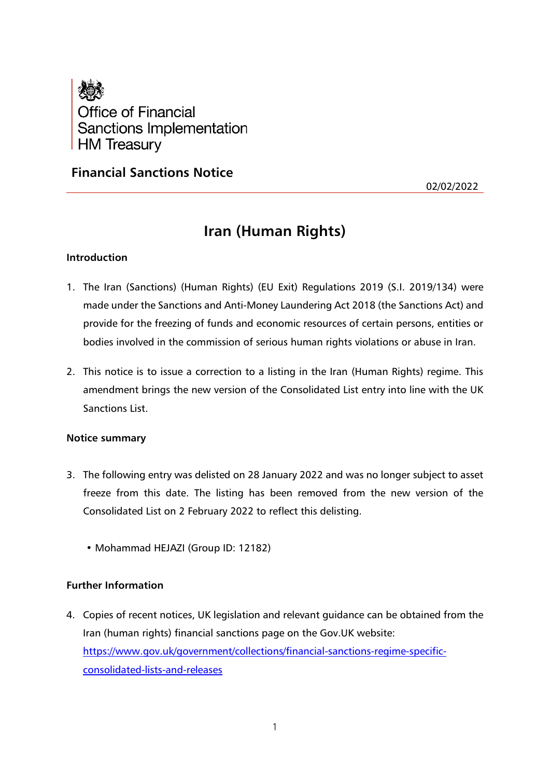

## **Financial Sanctions Notice**

02/02/2022

# **Iran (Human Rights)**

### **Introduction**

- 1. The Iran (Sanctions) (Human Rights) (EU Exit) Regulations 2019 (S.I. 2019/134) were made under the Sanctions and Anti-Money Laundering Act 2018 (the Sanctions Act) and provide for the freezing of funds and economic resources of certain persons, entities or bodies involved in the commission of serious human rights violations or abuse in Iran.
- 2. This notice is to issue a correction to a listing in the Iran (Human Rights) regime. This amendment brings the new version of the Consolidated List entry into line with the UK Sanctions List.

#### **Notice summary**

- 3. The following entry was delisted on 28 January 2022 and was no longer subject to asset freeze from this date. The listing has been removed from the new version of the Consolidated List on 2 February 2022 to reflect this delisting.
	- Mohammad HEJAZI (Group ID: 12182)

## **Further Information**

4. Copies of recent notices, UK legislation and relevant guidance can be obtained from the Iran (human rights) financial sanctions page on the Gov.UK website: https://www.gov.uk/government/collections/financial-sanctions-regime-specificconsolidated-lists-and-releases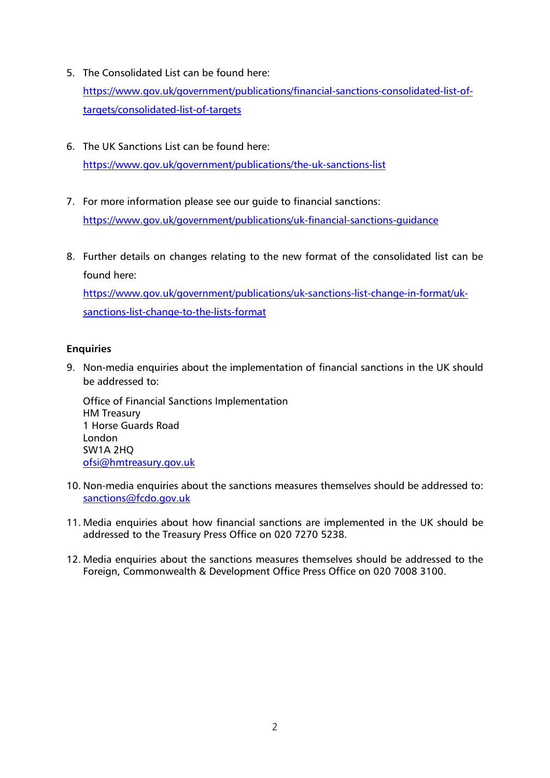5. The Consolidated List can be found here:

[https://www.gov.uk/government/publications/financial-sanctions-consolidated-list-of](https://www.gov.uk/government/publications/financial-sanctions-consolidated-list-of-targets/consolidated-list-of-targets)[targets/consolidated-list-of-targets](https://www.gov.uk/government/publications/financial-sanctions-consolidated-list-of-targets/consolidated-list-of-targets)

- 6. The UK Sanctions List can be found here: <https://www.gov.uk/government/publications/the-uk-sanctions-list>
- 7. For more information please see our guide to financial sanctions: <https://www.gov.uk/government/publications/uk-financial-sanctions-guidance>
- 8. Further details on changes relating to the new format of the consolidated list can be found here:

[https://www.gov.uk/government/publications/uk-sanctions-list-change-in-format/uk](https://www.gov.uk/government/publications/uk-sanctions-list-change-in-format/uk-sanctions-list-change-to-the-lists-format)[sanctions-list-change-to-the-lists-format](https://www.gov.uk/government/publications/uk-sanctions-list-change-in-format/uk-sanctions-list-change-to-the-lists-format)

## **Enquiries**

9. Non-media enquiries about the implementation of financial sanctions in the UK should be addressed to:

Office of Financial Sanctions Implementation HM Treasury 1 Horse Guards Road London SW1A 2HQ [ofsi@hmtreasury.gov.uk](mailto:ofsi@hmtreasury.gov.uk)

- 10. Non-media enquiries about the sanctions measures themselves should be addressed to: [sanctions@fcdo.gov.uk](mailto:sanctions@fcdo.gov.uk)
- 11. Media enquiries about how financial sanctions are implemented in the UK should be addressed to the Treasury Press Office on 020 7270 5238.
- 12. Media enquiries about the sanctions measures themselves should be addressed to the Foreign, Commonwealth & Development Office Press Office on 020 7008 3100.